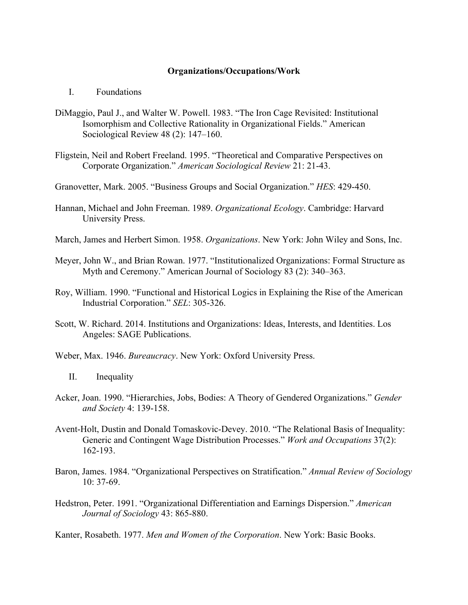## **Organizations/Occupations/Work**

- I. Foundations
- DiMaggio, Paul J., and Walter W. Powell. 1983. "The Iron Cage Revisited: Institutional Isomorphism and Collective Rationality in Organizational Fields." American Sociological Review 48 (2): 147–160.
- Fligstein, Neil and Robert Freeland. 1995. "Theoretical and Comparative Perspectives on Corporate Organization." *American Sociological Review* 21: 21-43.
- Granovetter, Mark. 2005. "Business Groups and Social Organization." *HES*: 429-450.
- Hannan, Michael and John Freeman. 1989. *Organizational Ecology*. Cambridge: Harvard University Press.
- March, James and Herbert Simon. 1958. *Organizations*. New York: John Wiley and Sons, Inc.
- Meyer, John W., and Brian Rowan. 1977. "Institutionalized Organizations: Formal Structure as Myth and Ceremony." American Journal of Sociology 83 (2): 340–363.
- Roy, William. 1990. "Functional and Historical Logics in Explaining the Rise of the American Industrial Corporation." *SEL*: 305-326.
- Scott, W. Richard. 2014. Institutions and Organizations: Ideas, Interests, and Identities. Los Angeles: SAGE Publications.
- Weber, Max. 1946. *Bureaucracy*. New York: Oxford University Press.
	- II. Inequality
- Acker, Joan. 1990. "Hierarchies, Jobs, Bodies: A Theory of Gendered Organizations." *Gender and Society* 4: 139-158.
- Avent-Holt, Dustin and Donald Tomaskovic-Devey. 2010. "The Relational Basis of Inequality: Generic and Contingent Wage Distribution Processes." *Work and Occupations* 37(2): 162-193.
- Baron, James. 1984. "Organizational Perspectives on Stratification." *Annual Review of Sociology*  10: 37-69.
- Hedstron, Peter. 1991. "Organizational Differentiation and Earnings Dispersion." *American Journal of Sociology* 43: 865-880.

Kanter, Rosabeth. 1977. *Men and Women of the Corporation*. New York: Basic Books.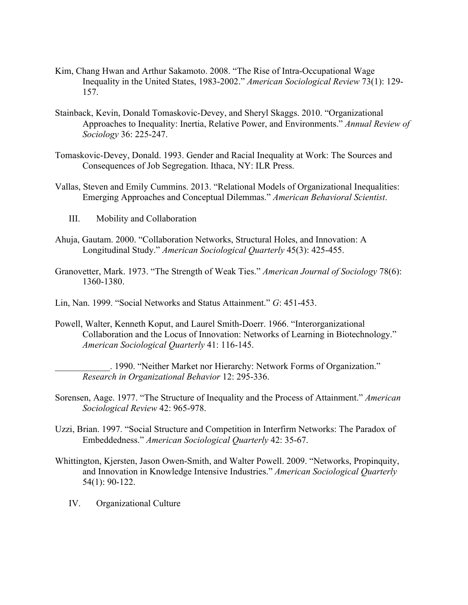- Kim, Chang Hwan and Arthur Sakamoto. 2008. "The Rise of Intra-Occupational Wage Inequality in the United States, 1983-2002." *American Sociological Review* 73(1): 129- 157.
- Stainback, Kevin, Donald Tomaskovic-Devey, and Sheryl Skaggs. 2010. "Organizational Approaches to Inequality: Inertia, Relative Power, and Environments." *Annual Review of Sociology* 36: 225-247.
- Tomaskovic-Devey, Donald. 1993. Gender and Racial Inequality at Work: The Sources and Consequences of Job Segregation. Ithaca, NY: ILR Press.
- Vallas, Steven and Emily Cummins. 2013. "Relational Models of Organizational Inequalities: Emerging Approaches and Conceptual Dilemmas." *American Behavioral Scientist*.
	- III. Mobility and Collaboration
- Ahuja, Gautam. 2000. "Collaboration Networks, Structural Holes, and Innovation: A Longitudinal Study." *American Sociological Quarterly* 45(3): 425-455.
- Granovetter, Mark. 1973. "The Strength of Weak Ties." *American Journal of Sociology* 78(6): 1360-1380.
- Lin, Nan. 1999. "Social Networks and Status Attainment." *G*: 451-453.
- Powell, Walter, Kenneth Koput, and Laurel Smith-Doerr. 1966. "Interorganizational Collaboration and the Locus of Innovation: Networks of Learning in Biotechnology." *American Sociological Quarterly* 41: 116-145.

\_\_\_\_\_\_\_\_\_\_\_\_. 1990. "Neither Market nor Hierarchy: Network Forms of Organization." *Research in Organizational Behavior* 12: 295-336.

- Sorensen, Aage. 1977. "The Structure of Inequality and the Process of Attainment." *American Sociological Review* 42: 965-978.
- Uzzi, Brian. 1997. "Social Structure and Competition in Interfirm Networks: The Paradox of Embeddedness." *American Sociological Quarterly* 42: 35-67.
- Whittington, Kjersten, Jason Owen-Smith, and Walter Powell. 2009. "Networks, Propinquity, and Innovation in Knowledge Intensive Industries." *American Sociological Quarterly* 54(1): 90-122.
	- IV. Organizational Culture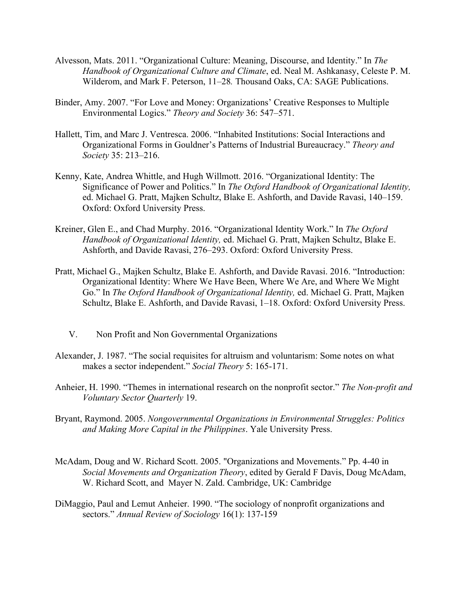- Alvesson, Mats. 2011. "Organizational Culture: Meaning, Discourse, and Identity." In *The Handbook of Organizational Culture and Climate*, ed. Neal M. Ashkanasy, Celeste P. M. Wilderom, and Mark F. Peterson, 11–28*.* Thousand Oaks, CA: SAGE Publications.
- Binder, Amy. 2007. "For Love and Money: Organizations' Creative Responses to Multiple Environmental Logics." *Theory and Society* 36: 547–571.
- Hallett, Tim, and Marc J. Ventresca. 2006. "Inhabited Institutions: Social Interactions and Organizational Forms in Gouldner's Patterns of Industrial Bureaucracy." *Theory and Society* 35: 213–216.
- Kenny, Kate, Andrea Whittle, and Hugh Willmott. 2016. "Organizational Identity: The Significance of Power and Politics." In *The Oxford Handbook of Organizational Identity,*  ed. Michael G. Pratt, Majken Schultz, Blake E. Ashforth, and Davide Ravasi, 140–159. Oxford: Oxford University Press.
- Kreiner, Glen E., and Chad Murphy. 2016. "Organizational Identity Work." In *The Oxford Handbook of Organizational Identity,* ed. Michael G. Pratt, Majken Schultz, Blake E. Ashforth, and Davide Ravasi, 276–293. Oxford: Oxford University Press.
- Pratt, Michael G., Majken Schultz, Blake E. Ashforth, and Davide Ravasi. 2016. "Introduction: Organizational Identity: Where We Have Been, Where We Are, and Where We Might Go." In *The Oxford Handbook of Organizational Identity,* ed. Michael G. Pratt, Majken Schultz, Blake E. Ashforth, and Davide Ravasi, 1–18. Oxford: Oxford University Press.
	- V. Non Profit and Non Governmental Organizations
- Alexander, J. 1987. "The social requisites for altruism and voluntarism: Some notes on what makes a sector independent." *Social Theory* 5: 165-171.
- Anheier, H. 1990. "Themes in international research on the nonprofit sector." *The Non-profit and Voluntary Sector Quarterly* 19.
- Bryant, Raymond. 2005. *Nongovernmental Organizations in Environmental Struggles: Politics and Making More Capital in the Philippines*. Yale University Press.
- McAdam, Doug and W. Richard Scott. 2005. "Organizations and Movements." Pp. 4-40 in *Social Movements and Organization Theory*, edited by Gerald F Davis, Doug McAdam, W. Richard Scott, and Mayer N. Zald. Cambridge, UK: Cambridge
- DiMaggio, Paul and Lemut Anheier. 1990. "The sociology of nonprofit organizations and sectors." *Annual Review of Sociology* 16(1): 137-159